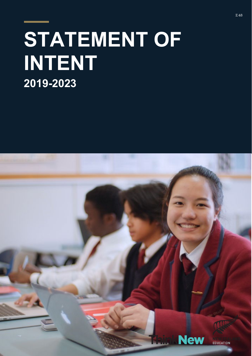# **STATEMENT OF INTENT 2019-2023**

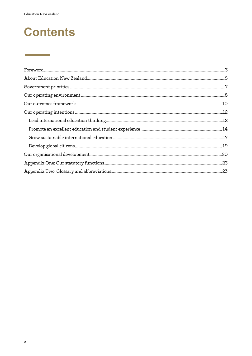<u> Liston de la contra</u>

# **Contents**

| $\label{eq:1} \textbf{For} \textbf{word} \textit{} \textit{} \textit{} \textit{} \textit{} \textit{} \textit{} \textit{} \textit{} \textit{} \textit{} \textit{} \textit{} \textit{} \textit{} \textit{} \textit{} \textit{} \textit{} \textit{} \textit{} \textit{} \textit{} \textit{} \textit{} \textit{} \textit{} \textit{} \textit{} \textit{} \textit{} \textit{} \textit{} \textit$ |  |
|---------------------------------------------------------------------------------------------------------------------------------------------------------------------------------------------------------------------------------------------------------------------------------------------------------------------------------------------------------------------------------------------|--|
|                                                                                                                                                                                                                                                                                                                                                                                             |  |
|                                                                                                                                                                                                                                                                                                                                                                                             |  |
|                                                                                                                                                                                                                                                                                                                                                                                             |  |
| $\label{eq:1} \textbf{Our outcomes framework} \textit{\underline{\hspace{1cm}}} \textbf{10}$                                                                                                                                                                                                                                                                                                |  |
|                                                                                                                                                                                                                                                                                                                                                                                             |  |
|                                                                                                                                                                                                                                                                                                                                                                                             |  |
|                                                                                                                                                                                                                                                                                                                                                                                             |  |
|                                                                                                                                                                                                                                                                                                                                                                                             |  |
|                                                                                                                                                                                                                                                                                                                                                                                             |  |
|                                                                                                                                                                                                                                                                                                                                                                                             |  |
|                                                                                                                                                                                                                                                                                                                                                                                             |  |
|                                                                                                                                                                                                                                                                                                                                                                                             |  |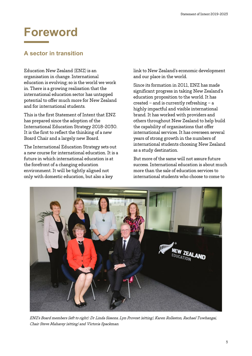# <span id="page-2-0"></span>**Foreword**

# **A sector in transition**

Education New Zealand (ENZ) is an organisation in change. International education is evolving; so is the world we work in. There is a growing realisation that the international education sector has untapped potential to offer much more for New Zealand and for international students.

This is the first Statement of Intent that ENZ has prepared since the adoption of the International Education Strategy 2018-2030. It is the first to reflect the thinking of a new Board Chair and a largely new Board.

The International Education Strategy sets out a new course for international education. It is a future in which international education is at the forefront of a changing education environment. It will be tightly aligned not only with domestic education, but also a key

link to New Zealand's economic development and our place in the world.

Since its formation in 2011, ENZ has made significant progress in taking New Zealand's education proposition to the world. It has created – and is currently refreshing – a highly impactful and visible international brand. It has worked with providers and others throughout New Zealand to help build the capability of organisations that offer international services. It has overseen several years of strong growth in the numbers of international students choosing New Zealand as a study destination.

But more of the same will not assure future success. International education is about much more than the sale of education services to international students who choose to come to



ENZ's Board members (left to right): Dr Linda Sissons, Lyn Provost (sitting), Karen Rolleston, Rachael Tuwhangai, Chair Steve Maharey (sitting) and Victoria Spackman.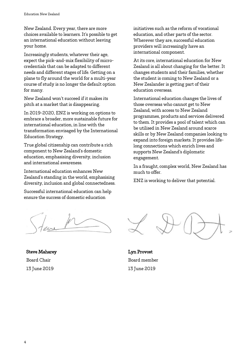New Zealand. Every year, there are more choices available to learners. It's possible to get an international education without leaving your home.

Increasingly students, whatever their age, expect the pick-and-mix flexibility of microcredentials that can be adapted to different needs and different stages of life. Getting on a plane to fly around the world for a multi-year course of study is no longer the default option for many.

New Zealand won't succeed if it makes its pitch at a market that is disappearing.

In 2019-2020, ENZ is working on options to embrace a broader, more sustainable future for international education, in line with the transformation envisaged by the International Education Strategy.

True global citizenship can contribute a rich component to New Zealand's domestic education, emphasising diversity, inclusion and international awareness.

International education enhances New Zealand's standing in the world, emphasising diversity, inclusion and global connectedness.

Successful international education can help ensure the success of domestic education

Steve Maharey Board Chair 13 June 2019

initiatives such as the reform of vocational education, and other parts of the sector. Wherever they are, successful education providers will increasingly have an international component.

At its core, international education for New Zealand is all about changing for the better. It changes students and their families, whether the student is coming to New Zealand or a New Zealander is getting part of their education overseas.

International education changes the lives of those overseas who cannot get to New Zealand, with access to New Zealand programmes, products and services delivered to them. It provides a pool of talent which can be utilised in New Zealand around scarce skills or by New Zealand companies looking to expand into foreign markets. It provides lifelong connections which enrich lives and supports New Zealand's diplomatic engagement.

In a fraught, complex world, New Zealand has much to offer.

ENZ is working to deliver that potential.

Lyn Provost Board member 13 June 2019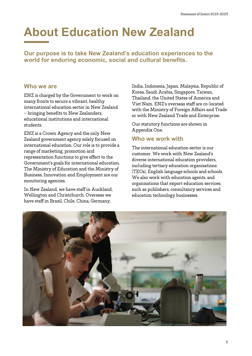# <span id="page-4-0"></span>**About Education New Zealand**

**Our purpose is to take New Zealand's education experiences to the world for enduring economic, social and cultural benefits.**

### **Who we are**

ENZ is charged by the Government to work on many fronts to secure a vibrant, healthy international education sector in New Zealand – bringing benefits to New Zealanders, educational institutions and international students.

ENZ is a Crown Agency and the only New Zealand government agency solely focused on international education. Our role is to provide a range of marketing, promotion and representation functions to give effect to the Government's goals for international education. The Ministry of Education and the Ministry of Business, Innovation and Employment are our monitoring agencies.

In New Zealand, we have staff in Auckland, Wellington and Christchurch. Overseas we have staff in Brazil, Chile, China, Germany,

India, Indonesia, Japan, Malaysia, Republic of Korea, Saudi Arabia, Singapore, Taiwan, Thailand, the United States of America and Viet Nam. ENZ's overseas staff are co-located with the Ministry of Foreign Affairs and Trade or with New Zealand Trade and Enterprise.

Our statutory functions are shown in Appendix One.

# **Who we work with**

The international education sector is our customer. We work with New Zealand's diverse international education providers, including tertiary education organisations (TEOs), English language schools and schools. We also work with education agents, and organisations that export education services, such as publishers, consultancy services and education technology businesses.

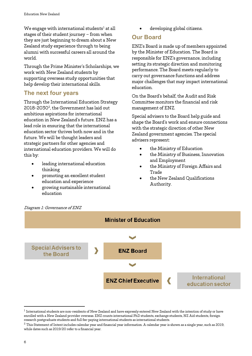We engage with international students<sup>[1](#page-5-0)</sup> at all stages of their student journey – from when they are just beginning to dream about a New Zealand study experience through to being alumni with successful careers all around the world.

Through the Prime Minister's Scholarships, we work with New Zealand students by supporting overseas study opportunities that help develop their international skills.

# **The next four years**

Through the International Education Strategy [2](#page-5-1)018-2030<sup>2</sup>, the Government has laid out ambitious aspirations for international education in New Zealand's future. ENZ has a lead role in ensuring that the international education sector thrives both now and in the future. We will be thought leaders and strategic partners for other agencies and international education providers. We will do this by:

- leading international education thinking
- promoting an excellent student education and experience
- growing sustainable international education

• developing global citizens.

### **Our Board**

ENZ's Board is made up of members appointed by the Minister of Education. The Board is responsible for ENZ's governance, including setting its strategic direction and monitoring performance. The Board meets regularly to carry out governance functions and address major challenges that may impact international education.

On the Board's behalf, the Audit and Risk Committee monitors the financial and risk management of ENZ.

Special advisers to the Board help guide and shape the Board's work and ensure connections with the strategic direction of other New Zealand government agencies. The special advisers represent:

- the Ministry of Education
- the Ministry of Business, Innovation and Employment
- the Ministry of Foreign Affairs and Trade
- the New Zealand Qualifications Authority.



<span id="page-5-0"></span> $^{\rm 1}$  International students are non-residents of New Zealand and have expressly entered New Zealand with the intention of study or have enrolled with a New Zealand provider overseas. ENZ counts international PhD students, exchange students, NZ Aid students, foreign research postgraduate students and full fee-paying international students as international students.

6

<span id="page-5-1"></span> $^{\rm 2}$  This Statement of Intent includes calendar year and financial year information. A calendar year is shown as a single year, such as 2019, while dates such as 2019/20 refer to a financial year.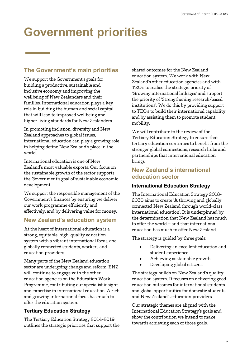# <span id="page-6-0"></span>**Government priorities**

# **The Government's main priorities**

We support the Government's goals for building a productive, sustainable and inclusive economy and improving the wellbeing of New Zealanders and their families. International education plays a key role in building the human and social capital that will lead to improved wellbeing and higher living standards for New Zealanders.

In promoting inclusion, diversity and New Zealand approaches to global issues, international education can play a growing role in helping define New Zealand's place in the world.

International education is one of New Zealand's most valuable exports. Our focus on the sustainable growth of the sector supports the Government's goal of sustainable economic development.

We support the responsible management of the Government's finances by ensuring we deliver our work programme efficiently and effectively, and by delivering value for money.

## **New Zealand's education system**

At the heart of international education is a strong, equitable, high-quality education system with a vibrant international focus, and globally connected students, workers and education providers.

Many parts of the New Zealand education sector are undergoing change and reform. ENZ will continue to engage with the other education agencies on the Education Work Programme, contributing our specialist insight and expertise in international education. A rich and growing international focus has much to offer the education system.

### **Tertiary Education Strategy**

The Tertiary Education Strategy 2014-2019 outlines the strategic priorities that support the shared outcomes for the New Zealand education system. We work with New Zealand's other education agencies and with TEO's to realise the strategic priority of 'Growing international linkages' and support the priority of 'Strengthening research-based institutions'. We do this by providing support to TEO's to build their international capability and by assisting them to promote student mobility.

We will contribute to the review of the Tertiary Education Strategy to ensure that tertiary education continues to benefit from the stronger global connections, research links and partnerships that international education brings.

### **New Zealand's international education sector**

#### **International Education Strategy**

The International Education Strategy 2018- 2030 aims to create 'A thriving and globally connected New Zealand through world-class international education'. It is underpinned by the determination that New Zealand has much to offer the world – and that international education has much to offer New Zealand.

The strategy is guided by three goals:

- Delivering an excellent education and student experience
- Achieving sustainable growth
- Developing global citizens.

The strategy builds on New Zealand's quality education system. It focuses on delivering good education outcomes for international students and global opportunities for domestic students and New Zealand's education providers.

Our strategic themes are aligned with the International Education Strategy's goals and show the contribution we intend to make towards achieving each of those goals.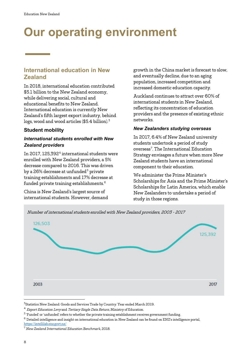# <span id="page-7-0"></span>**Our operating environment**

# **International education in New Zealand**

In 2018, international education contributed \$5.1 billion to the New Zealand economy, while delivering social, cultural and educational benefits to New Zealand. International education is currently New Zealand's fifth largest export industry, behind logs, wood and wood articles (\$5.4 billion).<sup>[3](#page-7-1)</sup>

#### **Student mobility**

#### *International students enrolled with New Zealand providers*

In 2017, 125,392<sup>[4](#page-7-2)</sup> international students were enrolled with New Zealand providers, a 5% decrease compared to 2016. This was driven by a 26% decrease at unfunded<sup>[5](#page-7-3)</sup> private training establishments and 17% decrease at funded private training establishments. [6](#page-7-4)

China is New Zealand's largest source of international students. However, demand growth in the China market is forecast to slow, and eventually decline, due to an aging population, increased competition and increased domestic education capacity.

Auckland continues to attract over 60% of international students in New Zealand, reflecting its concentration of education providers and the presence of existing ethnic networks.

#### *New Zealanders studying overseas*

In 2017, 6.4% of New Zealand university students undertook a period of study overseas<sup>[7](#page-7-5)</sup>. The International Education Strategy envisages a future when more New Zealand students have an international component to their education.

We administer the Prime Minister's Scholarships for Asia and the Prime Minister's Scholarships for Latin America, which enable New Zealanders to undertake a period of study in those regions.



<span id="page-7-1"></span> <sup>3</sup>Statistics New Zealand: Goods and Services Trade by Country: Year ended March 2019.

<span id="page-7-2"></span> $4$  Export Education Levy and Tertiary Single Data Return, Ministry of Education.

<span id="page-7-3"></span><sup>5</sup> 'Funded' or 'unfunded' refers to whether the private training establishment receives government funding.

<span id="page-7-4"></span> $^6$  Detailed intelligence and insight on international education in New Zealand can be found on ENZ's intelligence portal, <https://intellilab.enz.govt.nz/>

<span id="page-7-5"></span><sup>7</sup> *New Zealand International Education Benchmark*, 2018.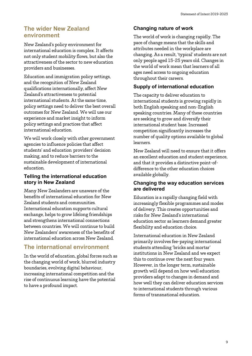## **The wider New Zealand environment**

New Zealand's policy environment for international education is complex. It affects not only student mobility flows, but also the attractiveness of the sector to new education providers and businesses.

Education and immigration policy settings, and the recognition of New Zealand qualifications internationally, affect New Zealand's attractiveness to potential international students. At the same time, policy settings need to deliver the best overall outcomes for New Zealand. We will use our experience and market insight to inform policy settings and practices that affect international education.

We will work closely with other government agencies to influence policies that affect students' and education providers' decision making, and to reduce barriers to the sustainable development of international education.

#### **Telling the international education story in New Zealand**

Many New Zealanders are unaware of the benefits of international education for New Zealand students and communities. International education supports cultural exchange, helps to grow lifelong friendships and strengthens international connections between countries. We will continue to build New Zealanders' awareness of the benefits of international education across New Zealand.

# **The international environment**

In the world of education, global forces such as the changing world of work, blurred industry boundaries, evolving digital behaviour, increasing international competition and the rise of continuous learning have the potential to have a profound impact.

#### **Changing nature of work**

The world of work is changing rapidly. The pace of change means that the skills and attributes needed in the workplace are changing. As a result, 'typical' students are not only people aged 15-25 years old. Changes in the world of work mean that learners of all ages need access to ongoing education throughout their careers.

### **Supply of international education**

The capacity to deliver education to international students is growing rapidly in both English speaking and non-English speaking countries. Many of these countries are seeking to grow and diversify their international student base. Increased competition significantly increases the number of quality options available to global learners.

New Zealand will need to ensure that it offers an excellent education and student experience, and that it provides a distinctive point-ofdifference to the other education choices available globally.

#### **Changing the way education services are delivered**

Education is a rapidly changing field with increasingly flexible programmes and modes of delivery. This creates opportunities and risks for New Zealand's international education sector as learners demand greater flexibility and education choice.

International education in New Zealand primarily involves fee-paying international students attending 'bricks and mortar' institutions in New Zealand and we expect this to continue over the next four years. However, in the longer term, sustainable growth will depend on how well education providers adapt to changes in demand and how well they can deliver education services to international students through various forms of transnational education.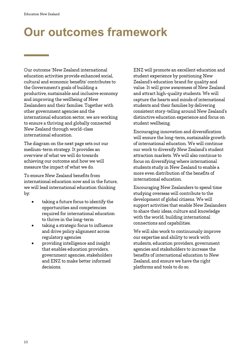# <span id="page-9-0"></span>**Our outcomes framework**

Our outcome 'New Zealand international education activities provide enhanced social, cultural and economic benefits' contributes to the Government's goals of building a productive, sustainable and inclusive economy and improving the wellbeing of New Zealanders and their families. Together with other government agencies and the international education sector, we are working to ensure a thriving and globally connected New Zealand through world-class international education.

The diagram on the next page sets out our medium-term strategy. It provides an overview of what we will do towards achieving our outcome and how we will measure the impact of what we do.

To ensure New Zealand benefits from international education now and in the future, we will lead international education thinking by:

- taking a future focus to identify the opportunities and competencies required for international education to thrive in the long-term
- taking a strategic focus to influence and drive policy alignment across regulatory agencies
- providing intelligence and insight that enables education providers, government agencies, stakeholders and ENZ to make better informed decisions.

ENZ will promote an excellent education and student experience by positioning New Zealand's education brand for quality and value. It will grow awareness of New Zealand and attract high-quality students. We will capture the hearts and minds of international students and their families by delivering consistent story-telling around New Zealand's distinctive education experience and focus on student wellbeing.

Encouraging innovation and diversification will ensure the long-term, sustainable growth of international education. We will continue our work to diversify New Zealand's student attraction markets. We will also continue to focus on diversifying where international students study in New Zealand to enable a more even distribution of the benefits of international education.

Encouraging New Zealanders to spend time studying overseas will contribute to the development of global citizens. We will support activities that enable New Zealanders to share their ideas, culture and knowledge with the world, building international connections and capabilities.

We will also work to continuously improve our expertise and ability to work with students, education providers, government agencies and stakeholders to increase the benefits of international education to New Zealand, and ensure we have the right platforms and tools to do so.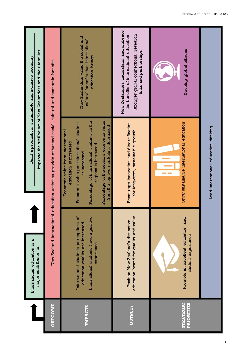| <b>OUTCOME</b>                        | International education is a                                                                                                     |                                                                                                                                                                                                                                                                                      | Build a productive, sustainable and inclusive economy                                                                                               |
|---------------------------------------|----------------------------------------------------------------------------------------------------------------------------------|--------------------------------------------------------------------------------------------------------------------------------------------------------------------------------------------------------------------------------------------------------------------------------------|-----------------------------------------------------------------------------------------------------------------------------------------------------|
|                                       | major contributor to:                                                                                                            |                                                                                                                                                                                                                                                                                      | Improve the wellbeing of New Zealanders and their families                                                                                          |
|                                       | New Zealand international                                                                                                        | education activities provide enhanced social, cultural and economic benefits                                                                                                                                                                                                         |                                                                                                                                                     |
| <b>IMPACTS</b>                        | International students perceptions of<br>International students have a positive<br>education quality are increased<br>experience | Percentage of the sector's economic value<br>Percentage of international students in the<br>Economic value per international student<br>from the top two markets is decreased<br>Economic value from international<br>education is increased<br>regions is increased<br>is increased | New Zealanders value the social and<br>cultural benefits that international<br>education brings                                                     |
| <b>OUTPUTS</b>                        | education brand for quality and value<br>Position New Zealand's distinctive                                                      | Encourage innovation and diversification<br>for long-term, sustainable growth                                                                                                                                                                                                        | New Zealanders understand and embrace<br>Stronger global connections, research<br>the benefits of international education<br>links and partnerships |
| <b>STRATEGIC</b><br><b>PRIORITIES</b> | Promote an excellent education and<br>student experience                                                                         | Grow sustainable international education<br>Lead international education thinking                                                                                                                                                                                                    | Develop global citizens                                                                                                                             |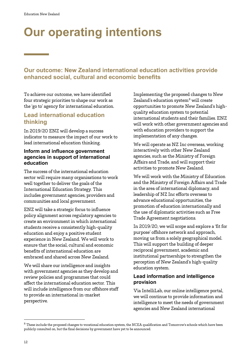# <span id="page-11-0"></span>**Our operating intentions**

# **Our outcome: New Zealand international education activities provide enhanced social, cultural and economic benefits**

To achieve our outcome, we have identified four strategic priorities to shape our work as the 'go to' agency for international education.

## <span id="page-11-1"></span>**Lead international education thinking**

In 2019/20 ENZ will develop a success indicator to measure the impact of our work to lead international education thinking.

#### **Inform and influence government agencies in support of international education**

The success of the international education sector will require many organisations to work well together to deliver the goals of the International Education Strategy. This includes government agencies, providers and communities and local government.

ENZ will take a strategic focus to influence policy alignment across regulatory agencies to create an environment in which international students receive a consistently high-quality education and enjoy a positive student experience in New Zealand. We will work to ensure that the social, cultural and economic benefits of international education are embraced and shared across New Zealand.

We will share our intelligence and insights with government agencies as they develop and review policies and programmes that could affect the international education sector. This will include intelligence from our offshore staff to provide an international in-market perspective.

Implementing the proposed changes to New Zealand's education system<sup>[8](#page-11-2)</sup> will create opportunities to promote New Zealand's highquality education system to potential international students and their families. ENZ will work with other government agencies and with education providers to support the implementation of any changes.

We will operate as NZ Inc overseas, working interactively with other New Zealand agencies, such as the Ministry of Foreign Affairs and Trade, and will support their activities to promote New Zealand.

We will work with the Ministry of Education and the Ministry of Foreign Affairs and Trade in the area of international diplomacy, and leadership of NZ Inc efforts overseas to advance educational opportunities, the promotion of education internationally and the use of diplomatic activities such as Free Trade Agreement negotiations.

In 2019/20, we will scope and explore a 'fit for purpose' offshore network and approach, moving us from a solely geographical model. This will support the building of deeper reciprocal government, academic and institutional partnerships to strengthen the perception of New Zealand's high-quality education system.

#### **Lead information and intelligence provision**

Via IntelliLab, our online intelligence portal, we will continue to provide information and intelligence to meet the needs of government agencies and New Zealand international

<span id="page-11-2"></span> $^8$  These include the proposed changes to vocational education system, the NCEA qualification and Tomorrow's schools which have been publicly consulted on, but the final decisions by government have yet to be announced.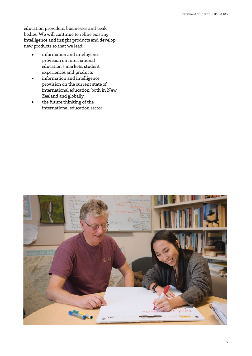education providers, businesses and peak bodies. We will continue to refine existing intelligence and insight products and develop new products so that we lead:

- information and intelligence provision on international education's markets, student experiences and products
- information and intelligence provision on the current state of international education, both in New Zealand and globally
- the future thinking of the international education sector.

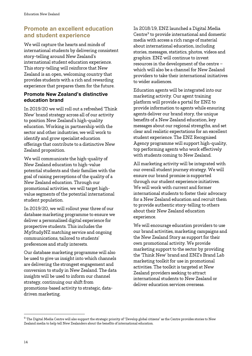# <span id="page-13-0"></span>**Promote an excellent education and student experience**

We will capture the hearts and minds of international students by delivering consistent story-telling around New Zealand's international student education experience. This story-telling will reinforce that New Zealand is an open, welcoming country that provides students with a rich and rewarding experience that prepares them for the future.

#### **Promote New Zealand's distinctive education brand**

In 2019/20 we will roll out a refreshed 'Think New' brand strategy across all of our activity to position New Zealand's high-quality education. Working in partnership with the sector and other industries, we will work to identify and grow specialist education offerings that contribute to a distinctive New Zealand proposition.

We will communicate the high-quality of New Zealand education to high-value potential students and their families with the goal of raising perceptions of the quality of a New Zealand education. Through our promotional activities, we will target highvalue segments of the potential international student population.

In 2019/20, we will rollout year three of our database marketing programme to ensure we deliver a personalised digital experience for prospective students. This includes the MyStudyNZ matching service and ongoing communications, tailored to students' preferences and study interests.

Our database marketing programme will also be used to give us insight into which channels are delivering the strongest engagement and conversion to study in New Zealand. The data insights will be used to inform our channel strategy, continuing our shift from promotions-based activity to strategic, datadriven marketing.

In 2018/19, ENZ launched a Digital Media Centre<sup>9</sup> to provide international and domestic media with access a rich range of material about international education, including stories, messages, statistics, photos, videos and graphics. ENZ will continue to invest resources in the development of the centre – which will also be a channel for New Zealand providers to take their international initiatives to wider audiences.

Education agents will be integrated into our marketing activity. Our agent training platform will provide a portal for ENZ to provide information to agents while ensuring agents deliver our brand story, the unique benefits of a New Zealand education, key messages about our regional strengths, and set clear and realistic expectations for an excellent student experience. The ENZ Recognised Agency programme will support high-quality, top performing agents who work effectively with students coming to New Zealand.

All marketing activity will be integrated with our overall student journey strategy. We will ensure our brand promise is supported through our student experience initiatives. We will work with current and former international students to foster their advocacy for a New Zealand education and recruit them to provide authentic story-telling to others about their New Zealand education experience.

We will encourage education providers to use our brand activities, marketing campaigns and the New Zealand Story as support for their own promotional activity. We provide marketing support to the sector by providing the 'Think New' brand and ENZ's Brand Lab marketing toolkit for use in promotional activities. The toolkit is targeted at New Zealand providers seeking to attract international students to New Zealand or deliver education services overseas.

<span id="page-13-1"></span> $^9$  The Digital Media Centre will also support the strategic priority of "Develop global citizens" as the Centre provides stories to New Zealand media to help tell New Zealanders about the benefits of international education.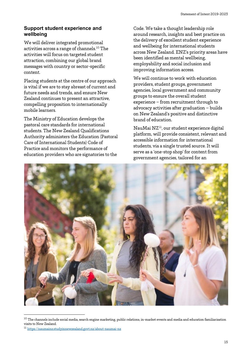#### **Support student experience and wellbeing**

We will deliver integrated promotional activities across a range of channels.<sup>[10](#page-14-0)</sup> The activities will focus on targeted student attraction, combining our global brand messages with country or sector-specific content.

Placing students at the centre of our approach is vital if we are to stay abreast of current and future needs and trends, and ensure New Zealand continues to present an attractive, compelling proposition to internationally mobile learners.

The Ministry of Education develops the pastoral care standards for international students. The New Zealand Qualifications Authority administers the Education (Pastoral Care of International Students) Code of Practice and monitors the performance of education providers who are signatories to the

Code. We take a thought leadership role around research, insights and best practice on the delivery of excellent student experience and wellbeing for international students across New Zealand. ENZ's priority areas have been identified as mental wellbeing, employability and social inclusion and improving information access.

We will continue to work with education providers, student groups, government agencies, local government and community groups to ensure the overall student experience – from recruitment through to advocacy activities after graduation – builds on New Zealand's positive and distinctive brand of education.

NauMai NZ[11](#page-14-1), our student experience digital platform, will provide consistent, relevant and accessible information for international students, via a single trusted source. It will serve as a 'one-stop shop' for content from government agencies, tailored for an



 $^{10}$  The channels include social media, search engine marketing, public relations, in-market events and media and education familiarisation visits to New Zealand.

<span id="page-14-1"></span><span id="page-14-0"></span> $^{\rm 11}$ <https://naumainz.studyinnewzealand.govt.nz/about-naumai-nz>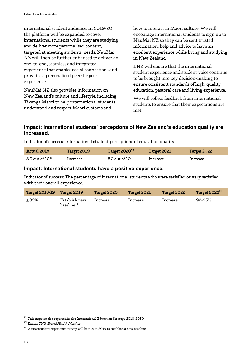international student audience. In 2019/20 the platform will be expanded to cover international students while they are studying and deliver more personalised content, targeted at meeting students' needs. NauMai NZ will then be further enhanced to deliver an end-to-end, seamless and integrated experience that enables social connections and provides a personalised peer-to-peer experience.

NauMai NZ also provides information on New Zealand's culture and lifestyle, including Tikanga Māori to help international students understand and respect Māori customs and

how to interact in Māori culture. We will encourage international students to sign up to NauMai NZ so they can be sent trusted information, help and advice to have an excellent experience while living and studying in New Zealand.

ENZ will ensure that the international student experience and student voice continue to be brought into key decision-making to ensure consistent standards of high-quality education, pastoral care and living experience.

<span id="page-15-0"></span>We will collect feedback from international students to ensure that their expectations are met.

#### **Impact: International students' perceptions of New Zealand's education quality are increased.**

Indicator of success: International student perceptions of education quality.

| Actual 2018            | Target 2019 | Target $202012$ | Target 2021 | Target 2022 |
|------------------------|-------------|-----------------|-------------|-------------|
| $8.0$ out of $10^{15}$ | Increase    | .2 out of IO    | Increase    | increase    |

#### **Impact: International students have a positive experience.**

Indicator of success: The percentage of international students who were satisfied or very satisfied with their overall experience.

| <b>Target 2018/19</b> | <b>Target 2019</b>                      | Target 2020 | Target 2021 | <b>Target 2022</b> | $Target$ 2025 $^{12}$ |
|-----------------------|-----------------------------------------|-------------|-------------|--------------------|-----------------------|
| >85%                  | Establish new<br>baseline <sup>14</sup> | Increase    | Increase    | Increase           | 92-95%                |

<span id="page-15-1"></span><sup>&</sup>lt;sup>12</sup> This target is also reported in the International Education Strategy 2018-2030.

<span id="page-15-2"></span><sup>&</sup>lt;sup>13</sup> Kantar TNS: *Brand Health Monitor*.

<span id="page-15-3"></span> $^{14}$  A new student experience survey will be run in 2019 to establish a new baseline.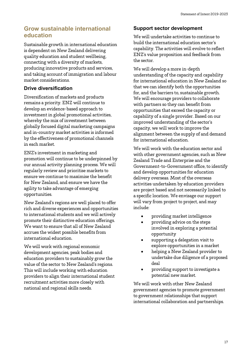# <span id="page-16-0"></span>**Grow sustainable international education**

Sustainable growth in international education is dependent on New Zealand delivering quality education and student wellbeing, connecting with a diversity of markets, producing innovative products and services, and taking account of immigration and labour market considerations.

#### **Drive diversification**

Diversification of markets and products remains a priority. ENZ will continue to develop an evidence-based approach to investment in global promotional activities, whereby the mix of investment between globally focused digital marketing campaigns and in-country market activities is informed by the effectiveness of promotional channels in each market.

ENZ's investment in marketing and promotion will continue to be underpinned by our annual activity planning process. We will regularly review and prioritise markets to ensure we continue to maximise the benefit for New Zealand, and ensure we have the agility to take advantage of emerging opportunities.

New Zealand's regions are well placed to offer rich and diverse experiences and opportunities to international students and we will actively promote their distinctive education offerings. We want to ensure that all of New Zealand accrues the widest possible benefits from international education.

We will work with regional economic development agencies, peak bodies and education providers to sustainably grow the value of the sector to New Zealand's regions. This will include working with education providers to align their international student recruitment activities more closely with national and regional skills needs.

#### **Support sector development**

We will undertake activities to continue to build the international education sector's capability. The activities will evolve to reflect ENZ's value proposition and feedback from the sector.

We will develop a more in-depth understanding of the capacity and capability for international education in New Zealand so that we can identify both the opportunities for, and the barriers to, sustainable growth. We will encourage providers to collaborate with partners so they can benefit from opportunities that exceed the capacity or capability of a single provider. Based on our improved understanding of the sector's capacity, we will work to improve the alignment between the supply of and demand for international education.

We will work with the education sector and with other government agencies, such as New Zealand Trade and Enterprise and the Government-to-Government office, to identify and develop opportunities for education delivery overseas. Most of the overseas activities undertaken by education providers are project based and not necessarily linked to a specific location. We envisage our support will vary from project to project, and may include:

- providing market intelligence
- providing advice on the steps involved in exploring a potential opportunity
- supporting a delegation visit to explore opportunities in a market
- helping a New Zealand provider to undertake due diligence of a proposed deal
- providing support to investigate a potential new market.

We will work with other New Zealand government agencies to promote government to government relationships that support international collaboration and partnerships.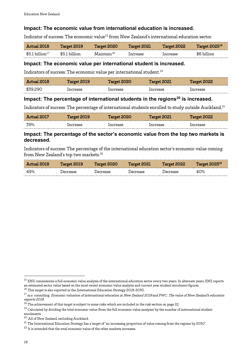#### **Impact: The economic value from international education is increased.**

Indicator of success: The economic value<sup>[15](#page-17-1)</sup> from New Zealand's international education sector.

<span id="page-17-0"></span>

| Actual 2018               | Target 2019   | <b>Target 2020</b>       | <b>Target 2021</b> | Target 2022 | <b>Target 2025<sup>16</sup></b> |
|---------------------------|---------------|--------------------------|--------------------|-------------|---------------------------------|
| $\$5.1\,$ billion $^{17}$ | \$5.1 billion | $\mathrm{Maintain^{18}}$ | Increase           | Increase    | \$6 billion                     |

#### **Impact: The economic value per international student is increased.**

Indicators of success: The economic value per international student.<sup>[19](#page-17-5)</sup>

| Actual 2018 | <b>Target 2019</b> | Target 2020 | Target 2021 | Target 2022 |
|-------------|--------------------|-------------|-------------|-------------|
| \$39.290    | Increase           | increase    | Increase    | Increase    |

#### **Impact: The percentage of international students in the regions[20](#page-17-6) is increased.**

Indicators of success: The percentage of international students enrolled to study outside Auckland.<sup>[21](#page-17-7)</sup>

|             |                    | <b>Target 2020</b> |             |                    |
|-------------|--------------------|--------------------|-------------|--------------------|
| Actual 2017 | <b>Target 2019</b> |                    | Target 2021 | <b>Target 2022</b> |
| 39%         | Increase           | ncrease.           | ncrease.    | ncrease            |

#### **Impact: The percentage of the sector's economic value from the top two markets is decreased.**

Indicators of success: The percentage of the international education sector's economic value coming from New Zealand's top two markets. [22](#page-17-8)

| Actual 2018 | <b>Target 2019</b> | Target 2020 | Target 2021 | Target 2022 | <b>Target 2025<sup>16</sup></b> |
|-------------|--------------------|-------------|-------------|-------------|---------------------------------|
| 49%         | Jecrease           | Jecrease    | Jecrease    | Decrease    | 40%                             |

<span id="page-17-1"></span> $^{15}$  ENZ commissions a full economic value analysis of the international education sector every two years. In alternate years, ENZ reports an estimated sector value based on the most recent economic value analysis and current year student enrolment figures. <sup>16</sup> This target is also reported in the International Education Strategy 2018-2030.

<span id="page-17-3"></span><span id="page-17-2"></span><sup>&</sup>lt;sup>17</sup> m.e. consulting: *Economic valuation of international education in New Zealand 2018* and PWC: The value of New Zealand's education exports 2018.

<span id="page-17-4"></span> $^{18}$  The achievement of this target is subject to some risks which are included in the risk section on page 22.

<span id="page-17-5"></span><sup>&</sup>lt;sup>19</sup> Calculated by dividing the total economic value (from the full economic value analysis) by the number of international student enrolments.

<span id="page-17-6"></span><sup>20</sup> All of New Zealand, excluding Auckland.

<span id="page-17-7"></span> $^{21}$  The International Education Strategy has a target of "an increasing proportion of value coming from the regions by 2030".

<span id="page-17-8"></span> $^\mathrm{22}$  It is intended that the total economic value of the other markets increases.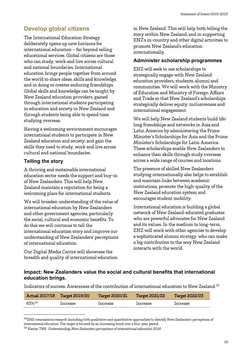## <span id="page-18-0"></span>**Develop global citizens**

The International Education Strategy deliberately opens up new horizons for international education – far beyond selling educational services. Global citizens are those who can study, work and live across cultural and national boundaries. International education brings people together from around the world to share ideas, skills and knowledge, and in doing so creates enduring friendships. Global skills and knowledge can be taught by New Zealand education providers, gained through international students participating in education and society in New Zealand and through students being able to spend time studying overseas.

Having a welcoming environment encourages international students to participate in New Zealand education and society, and gain the skills they need to study, work and live across cultural and national boundaries.

#### **Telling the story**

A thriving and sustainable international education sector needs the support and buy-in of New Zealanders. This will help New Zealand maintain a reputation for being a welcoming place for international students.

We will broaden understanding of the value of international education by New Zealanders and other government agencies, particularly the social, cultural and economic benefits. To do this we will continue to tell the international education story and improve our understanding of New Zealanders' perceptions of international education.

Our Digital Media Centre will showcase the breadth and quality of international education in New Zealand. This will help both telling the story within New Zealand, and in supporting ENZ's in-country and other digital activities to promote New Zealand's education internationally.

#### **Administer scholarship programmes**

ENZ will seek to use scholarships to strategically engage with New Zealand education providers, students, alumni and communities. We will work with the Ministry of Education and Ministry of Foreign Affairs and Trade so that New Zealand's scholarships strategically deliver equity, inclusiveness and international engagement.

We will help New Zealand students build lifelong friendships and networks in Asia and Latin America by administering the Prime Minister's Scholarships for Asia and the Prime Minister's Scholarships for Latin America. These scholarships enable New Zealanders to enhance their skills through study overseas across a wide range of courses and locations.

The presence of skilled New Zealanders studying internationally also helps to establish and maintain links between academic institutions, promote the high-quality of the New Zealand education system and encourages student mobility.

International education is building a global network of New Zealand-educated graduates who are powerful advocates for New Zealand and its values. In the medium to long-term, ENZ will work with other agencies to develop a sophisticated alumni strategy, who can make a big contribution to the way New Zealand interacts with the world.

#### **Impact: New Zealanders value the social and cultural benefits that international education brings.**

Indicators of success: Awareness of the contribution of international education to New Zealand.<sup>[23](#page-18-1)</sup>

| <b>Actual 2017/18</b> | <b>Target 2019/20</b> | <b>Target 2020/21</b> | <b>Target 2021/22</b> | <b>Target 2022/23</b> |
|-----------------------|-----------------------|-----------------------|-----------------------|-----------------------|
| 63%24                 | Increase              | Increase              | ncrease.              | Increase              |

<span id="page-18-1"></span> $^{23}$ ENZ commissions research (including both qualitative and quantitative approaches) to identify New Zealanders' perceptions of international education. The target is focused on an increasing trend over a four-year period.

<span id="page-18-2"></span> $^\mathrm{24}$  Kantar TNS: Understanding New Zealanders perceptions of international education 2018.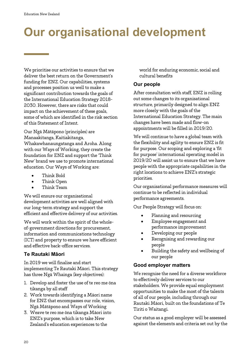# <span id="page-19-0"></span>**Our organisational development**

We prioritise our activities to ensure that we deliver the best return on the Government's funding for ENZ. Our capabilities, systems and processes position us well to make a significant contribution towards the goals of the International Education Strategy 2018- 2030. However, there are risks that could impact on the achievement of these goals, some of which are identified in the risk section of this Statement of Intent.

Our Ngā Mātāpono (principles) are Manaakitanga, Kaitiakitanga, Whakawhanaungatanga and Aroha. Along with our Ways of Working, they create the foundation for ENZ and support the 'Think New' brand we use to promote international education. Our Ways of Working are:

- Think Bold
- Think Open
- Think Team

We will ensure our organisational development activities are well aligned with our long-term strategy and support the efficient and effective delivery of our activities.

We will work within the spirit of the wholeof-government directions for procurement, information and communications technology (ICT) and property to ensure we have efficient and effective back-office services.

#### **Te Rautaki Māori**

In 2019 we will finalise and start implementing Te Rautaki Māori. This strategy has three Ngā Whainga (key objectives):

- 1. Develop and foster the use of te reo me ōna tikanga by all staff
- 2. Work towards identifying a Māori name for ENZ that encompasses our role, vision, Ngā Mātāpono and Ways of Working
- 3. Weave te reo me ōna tikanga Māori into ENZ's purpose, which is to take New Zealand's education experiences to the

world for enduring economic, social and cultural benefits

#### **Our people**

After consultation with staff, ENZ is rolling out some changes to its organisational structure, primarily designed to align ENZ more closely with the goals of the International Education Strategy. The main changes have been made and flow-on appointments will be filled in 2019/20.

We will continue to have a global team with the flexibility and agility to ensure ENZ is fit for purpose. Our scoping and exploring a 'fit for purpose' international operating model in 2019/20 will assist us to ensure that we have people with the appropriate capabilities in the right locations to achieve ENZ's strategic priorities.

Our organisational performance measures will continue to be reflected in individual performance agreements.

Our People Strategy will focus on:

- Planning and resourcing
- Employee engagement and performance improvement
- Developing our people
- Recognising and rewarding our people
- Building the safety and wellbeing of our people

#### **Good employer matters**

We recognise the need for a diverse workforce to effectively deliver services to our stakeholders. We provide equal employment opportunities to make the most of the talents of all of our people, including through our Rautaki Māori, built on the foundations of Te Tiriti o Waitangi.

Our status as a good employer will be assessed against the elements and criteria set out by the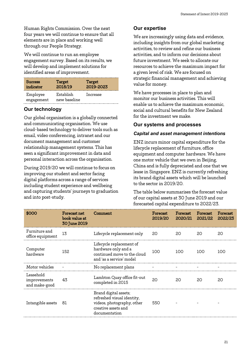Human Rights Commission. Over the next four years we will continue to ensure that all elements are in place and working well through our People Strategy.

We will continue to run an employee engagement survey. Based on its results, we will develop and implement solutions for identified areas of improvement.

| <b>Success</b>         | Target                    | Target    |
|------------------------|---------------------------|-----------|
| indicator              | 2018/19                   | 2019-2023 |
| Employee<br>engagement | Establish<br>new baseline | Increase  |

### **Our technology**

Our global organisation is a globally connected and communicating organisation. We use cloud-based technology to deliver tools such as email, video conferencing, intranet and our document management and customer relationship management systems. This has seen a significant improvement in data and personal interaction across the organisation.

During 2019/20 we will continue to focus on improving our student and sector facing digital platforms across a range of services including student experience and wellbeing and capturing students' journeys to graduation and into post-study.

#### **Our expertise**

We are increasingly using data and evidence, including insights from our global marketing activities, to review and refine our business activities, and to inform our decisions about future investment. We seek to allocate our resources to achieve the maximum impact for a given level of risk. We are focused on strategic financial management and achieving value for money.

We have processes in place to plan and monitor our business activities. This will enable us to achieve the maximum economic, social and cultural benefits for New Zealand for the investment we make.

#### **Our systems and processes**

#### *Capital and asset management intentions*

ENZ incurs minor capital expenditure for the lifecycle replacement of furniture, office equipment and computer hardware. We have one motor vehicle that we own in Beijing, China and is fully depreciated and one that we lease in Singapore. ENZ is currently refreshing its brand digital assets which will be launched to the sector in 2019/20.

The table below summarises the forecast value of our capital assets at 30 June 2019 and our forecasted capital expenditure to 2022/23.

| \$000                                      | <b>Forecast net</b><br>book value at<br>30 June 2019 | Comment                                                                                                                   | Forecast<br>2019/20 | Forecast<br>2020/21 2021/22 | Forecast | Forecast<br>2022/23 |
|--------------------------------------------|------------------------------------------------------|---------------------------------------------------------------------------------------------------------------------------|---------------------|-----------------------------|----------|---------------------|
| Furniture and<br>office equipment          | 13                                                   | Lifecycle replacement only                                                                                                | - 20                | 20                          | 20       | 20                  |
| Computer<br>hardware                       | 152                                                  | Lifecycle replacement of<br>hardware only and a<br>continued move to the cloud<br>and 'as a service' model                | 100                 | 100                         | 100      | 100                 |
| Motor vehicles                             |                                                      | No replacement plans                                                                                                      |                     |                             |          |                     |
| Leasehold<br>improvements<br>and make-good | 43                                                   | Lambton Quay office fit-out<br>completed in 2015                                                                          | $20^{\circ}$        | 20                          | 20       | 20                  |
| Intangible assets                          | -81                                                  | Brand digital assets;<br>refreshed visual identity,<br>videos, photography, other<br>creative assets and<br>documentation | 550                 |                             |          |                     |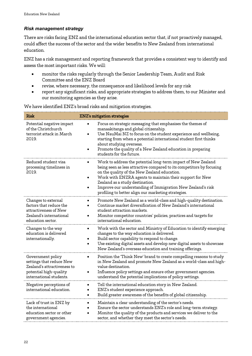#### *Risk management strategy*

There are risks facing ENZ and the international education sector that, if not proactively managed, could affect the success of the sector and the wider benefits to New Zealand from international education.

ENZ has a risk management and reporting framework that provides a consistent way to identify and assess the most important risks. We will:

- monitor the risks regularly through the Senior Leadership Team, Audit and Risk Committee and the ENZ Board
- revise, where necessary, the consequence and likelihood levels for any risk
- report any significant risks, and appropriate strategies to address them, to our Minister and our monitoring agencies as they arise.

| <b>Risk</b>                                                                                                                       |                        | <b>ENZ's mitigation strategies</b>                                                                                                                                                                                                                                                                                                                                                                          |
|-----------------------------------------------------------------------------------------------------------------------------------|------------------------|-------------------------------------------------------------------------------------------------------------------------------------------------------------------------------------------------------------------------------------------------------------------------------------------------------------------------------------------------------------------------------------------------------------|
| Potential negative impact<br>of the Christchurch<br>terrorist attack in March<br>2019.                                            | $\bullet$              | Focus on strategic messaging that emphasises the themes of<br>manaakitanga and global citizenship.<br>Use NauMai NZ to focus on the student experience and wellbeing,<br>starting from when a potential international student first thinks<br>about studying overseas.<br>Promote the quality of a New Zealand education in preparing<br>students for the future.                                           |
| Reduced student visa<br>processing timeliness in<br>2019.                                                                         | $\bullet$              | Work to address the potential long-term impact of New Zealand<br>being seen as less attractive compared to its competitors by focusing<br>on the quality of the New Zealand education.<br>Work with ENZRA agents to maintain their support for New<br>Zealand as a study destination.<br>Improve our understanding of Immigration New Zealand's risk<br>profiling to better align our marketing strategies. |
| Changes to external<br>factors that reduce the<br>attractiveness of New<br>Zealand's international<br>education sector.           | $\bullet$<br>$\bullet$ | Promote New Zealand as a world-class and high-quality destination.<br>Continue market diversification of New Zealand's international<br>student attraction markets.<br>Monitor competitor countries' policies, practices and targets for<br>international education.                                                                                                                                        |
| Changes to the way<br>education is delivered<br>internationally.                                                                  | $\bullet$              | Work with the sector and Ministry of Education to identify emerging<br>changes to the way education is delivered.<br>Build sector capability to respond to change.<br>Use existing digital assets and develop new digital assets to showcase<br>New Zealand's overseas education and training offerings.                                                                                                    |
| Government policy<br>settings that reduce New<br>Zealand's attractiveness to<br>potential high-quality<br>international students. | $\bullet$<br>$\bullet$ | Position the 'Think New' brand to create compelling reasons to study<br>in New Zealand and promote New Zealand as a world-class and high-<br>value destination.<br>Influence policy settings and ensure other government agencies.<br>understand the potential implications of policy settings.                                                                                                             |
| Negative perceptions of<br>international education.                                                                               | $\bullet$<br>$\bullet$ | Tell the international education story in New Zealand.<br>ENZ's student experience approach.<br>Build greater awareness of the benefits of global citizenship.                                                                                                                                                                                                                                              |
| Lack of trust in ENZ by<br>the international<br>education sector or other<br>government agencies.                                 | $\bullet$              | Maintain a clear understanding of the sector's needs.<br>Ensure the sector understands ENZ's role and long-term strategy.<br>Monitor the quality of the products and services we deliver to the<br>sector, and whether they meet the sector's needs.                                                                                                                                                        |

We have identified ENZ's broad risks and mitigation strategies.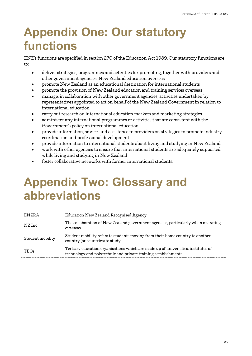# <span id="page-22-0"></span>**Appendix One: Our statutory functions**

ENZ's functions are specified in section 270 of the Education Act 1989. Our statutory functions are to:

- deliver strategies, programmes and activities for promoting, together with providers and other government agencies, New Zealand education overseas
- promote New Zealand as an educational destination for international students
- promote the provision of New Zealand education and training services overseas
- manage, in collaboration with other government agencies, activities undertaken by representatives appointed to act on behalf of the New Zealand Government in relation to international education
- carry out research on international education markets and marketing strategies
- administer any international programmes or activities that are consistent with the Government's policy on international education
- provide information, advice, and assistance to providers on strategies to promote industry coordination and professional development
- provide information to international students about living and studying in New Zealand
- work with other agencies to ensure that international students are adequately supported while living and studying in New Zealand
- foster collaborative networks with former international students.

# <span id="page-22-1"></span>**Appendix Two: Glossary and abbreviations**

| ENZRA            | Education New Zealand Recognised Agency                                                                                                             |
|------------------|-----------------------------------------------------------------------------------------------------------------------------------------------------|
| NZ Inc           | The collaboration of New Zealand government agencies, particularly when operating<br>overseas                                                       |
| Student mobility | Student mobility refers to students moving from their home country to another<br>country (or countries) to study                                    |
| <b>TEOs</b>      | Tertiary education organisations which are made up of universities, institutes of<br>technology and polytechnic and private training establishments |